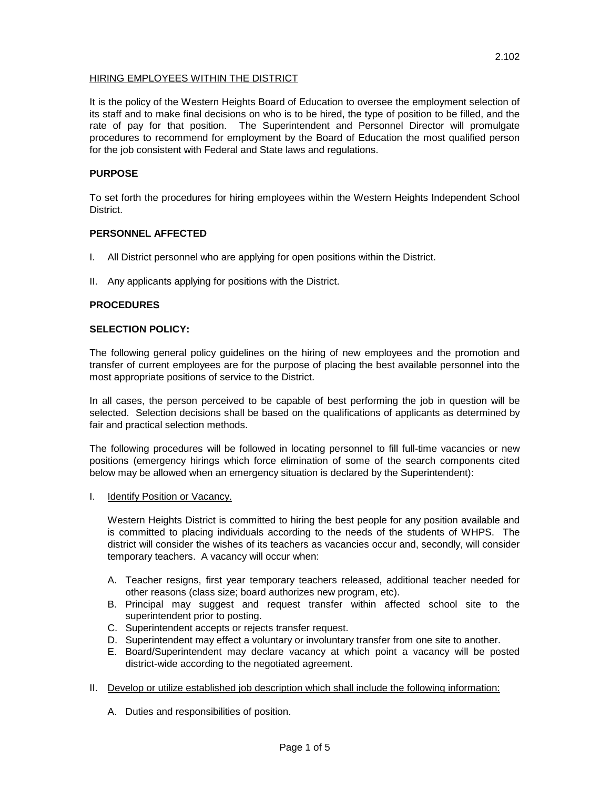# HIRING EMPLOYEES WITHIN THE DISTRICT

It is the policy of the Western Heights Board of Education to oversee the employment selection of its staff and to make final decisions on who is to be hired, the type of position to be filled, and the rate of pay for that position. The Superintendent and Personnel Director will promulgate procedures to recommend for employment by the Board of Education the most qualified person for the job consistent with Federal and State laws and regulations.

# **PURPOSE**

To set forth the procedures for hiring employees within the Western Heights Independent School District.

### **PERSONNEL AFFECTED**

- I. All District personnel who are applying for open positions within the District.
- II. Any applicants applying for positions with the District.

# **PROCEDURES**

### **SELECTION POLICY:**

The following general policy guidelines on the hiring of new employees and the promotion and transfer of current employees are for the purpose of placing the best available personnel into the most appropriate positions of service to the District.

In all cases, the person perceived to be capable of best performing the job in question will be selected. Selection decisions shall be based on the qualifications of applicants as determined by fair and practical selection methods.

The following procedures will be followed in locating personnel to fill full-time vacancies or new positions (emergency hirings which force elimination of some of the search components cited below may be allowed when an emergency situation is declared by the Superintendent):

I. Identify Position or Vacancy.

Western Heights District is committed to hiring the best people for any position available and is committed to placing individuals according to the needs of the students of WHPS. The district will consider the wishes of its teachers as vacancies occur and, secondly, will consider temporary teachers. A vacancy will occur when:

- A. Teacher resigns, first year temporary teachers released, additional teacher needed for other reasons (class size; board authorizes new program, etc).
- B. Principal may suggest and request transfer within affected school site to the superintendent prior to posting.
- C. Superintendent accepts or rejects transfer request.
- D. Superintendent may effect a voluntary or involuntary transfer from one site to another.
- E. Board/Superintendent may declare vacancy at which point a vacancy will be posted district-wide according to the negotiated agreement.
- II. Develop or utilize established job description which shall include the following information:
	- A. Duties and responsibilities of position.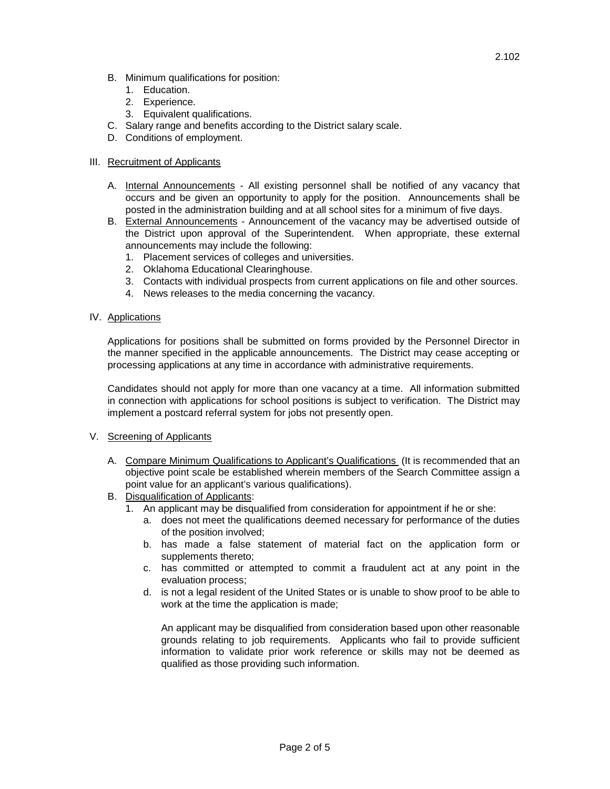- B. Minimum qualifications for position:
	- 1. Education.
	- 2. Experience.
	- 3. Equivalent qualifications.
- C. Salary range and benefits according to the District salary scale.
- D. Conditions of employment.

### III. Recruitment of Applicants

- A. Internal Announcements All existing personnel shall be notified of any vacancy that occurs and be given an opportunity to apply for the position. Announcements shall be posted in the administration building and at all school sites for a minimum of five days.
- B. External Announcements Announcement of the vacancy may be advertised outside of the District upon approval of the Superintendent. When appropriate, these external announcements may include the following:
	- 1. Placement services of colleges and universities.
	- 2. Oklahoma Educational Clearinghouse.
	- 3. Contacts with individual prospects from current applications on file and other sources.
	- 4. News releases to the media concerning the vacancy.
- IV. Applications

Applications for positions shall be submitted on forms provided by the Personnel Director in the manner specified in the applicable announcements. The District may cease accepting or processing applications at any time in accordance with administrative requirements.

Candidates should not apply for more than one vacancy at a time. All information submitted in connection with applications for school positions is subject to verification. The District may implement a postcard referral system for jobs not presently open.

### V. Screening of Applicants

- A. Compare Minimum Qualifications to Applicant's Qualifications (It is recommended that an objective point scale be established wherein members of the Search Committee assign a point value for an applicant's various qualifications).
- B. Disqualification of Applicants:
	- 1. An applicant may be disqualified from consideration for appointment if he or she:
		- a. does not meet the qualifications deemed necessary for performance of the duties of the position involved;
		- b. has made a false statement of material fact on the application form or supplements thereto;
		- c. has committed or attempted to commit a fraudulent act at any point in the evaluation process;
		- d. is not a legal resident of the United States or is unable to show proof to be able to work at the time the application is made;

An applicant may be disqualified from consideration based upon other reasonable grounds relating to job requirements. Applicants who fail to provide sufficient information to validate prior work reference or skills may not be deemed as qualified as those providing such information.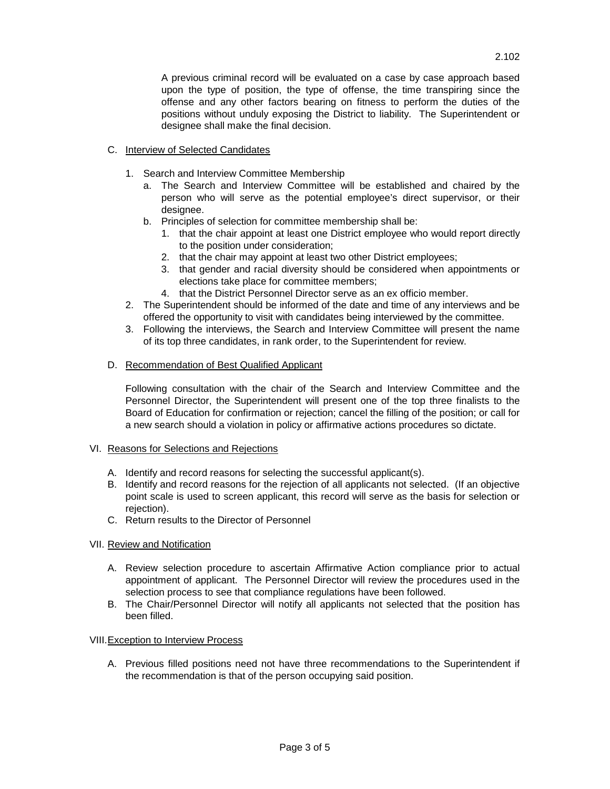A previous criminal record will be evaluated on a case by case approach based upon the type of position, the type of offense, the time transpiring since the offense and any other factors bearing on fitness to perform the duties of the positions without unduly exposing the District to liability. The Superintendent or designee shall make the final decision.

# C. Interview of Selected Candidates

- 1. Search and Interview Committee Membership
	- a. The Search and Interview Committee will be established and chaired by the person who will serve as the potential employee's direct supervisor, or their designee.
	- b. Principles of selection for committee membership shall be:
		- 1. that the chair appoint at least one District employee who would report directly to the position under consideration;
		- 2. that the chair may appoint at least two other District employees;
		- 3. that gender and racial diversity should be considered when appointments or elections take place for committee members;
		- 4. that the District Personnel Director serve as an ex officio member.
- 2. The Superintendent should be informed of the date and time of any interviews and be offered the opportunity to visit with candidates being interviewed by the committee.
- 3. Following the interviews, the Search and Interview Committee will present the name of its top three candidates, in rank order, to the Superintendent for review.

# D. Recommendation of Best Qualified Applicant

Following consultation with the chair of the Search and Interview Committee and the Personnel Director, the Superintendent will present one of the top three finalists to the Board of Education for confirmation or rejection; cancel the filling of the position; or call for a new search should a violation in policy or affirmative actions procedures so dictate.

# VI. Reasons for Selections and Rejections

- A. Identify and record reasons for selecting the successful applicant(s).
- B. Identify and record reasons for the rejection of all applicants not selected. (If an objective point scale is used to screen applicant, this record will serve as the basis for selection or rejection).
- C. Return results to the Director of Personnel

# VII. Review and Notification

- A. Review selection procedure to ascertain Affirmative Action compliance prior to actual appointment of applicant. The Personnel Director will review the procedures used in the selection process to see that compliance regulations have been followed.
- B. The Chair/Personnel Director will notify all applicants not selected that the position has been filled.

### VIII.Exception to Interview Process

A. Previous filled positions need not have three recommendations to the Superintendent if the recommendation is that of the person occupying said position.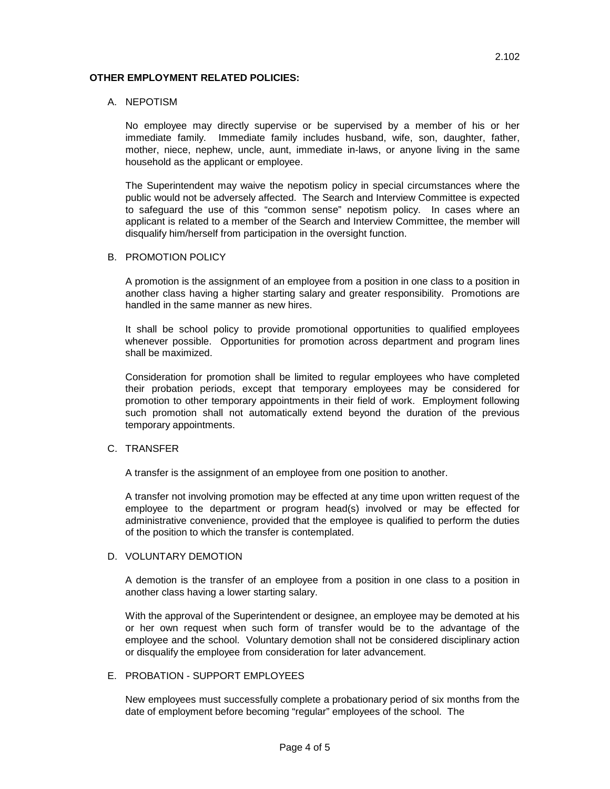### **OTHER EMPLOYMENT RELATED POLICIES:**

### A. NEPOTISM

No employee may directly supervise or be supervised by a member of his or her immediate family. Immediate family includes husband, wife, son, daughter, father, mother, niece, nephew, uncle, aunt, immediate in-laws, or anyone living in the same household as the applicant or employee.

The Superintendent may waive the nepotism policy in special circumstances where the public would not be adversely affected. The Search and Interview Committee is expected to safeguard the use of this "common sense" nepotism policy. In cases where an applicant is related to a member of the Search and Interview Committee, the member will disqualify him/herself from participation in the oversight function.

### B. PROMOTION POLICY

A promotion is the assignment of an employee from a position in one class to a position in another class having a higher starting salary and greater responsibility. Promotions are handled in the same manner as new hires.

It shall be school policy to provide promotional opportunities to qualified employees whenever possible. Opportunities for promotion across department and program lines shall be maximized.

Consideration for promotion shall be limited to regular employees who have completed their probation periods, except that temporary employees may be considered for promotion to other temporary appointments in their field of work. Employment following such promotion shall not automatically extend beyond the duration of the previous temporary appointments.

#### C. TRANSFER

A transfer is the assignment of an employee from one position to another.

A transfer not involving promotion may be effected at any time upon written request of the employee to the department or program head(s) involved or may be effected for administrative convenience, provided that the employee is qualified to perform the duties of the position to which the transfer is contemplated.

### D. VOLUNTARY DEMOTION

A demotion is the transfer of an employee from a position in one class to a position in another class having a lower starting salary.

With the approval of the Superintendent or designee, an employee may be demoted at his or her own request when such form of transfer would be to the advantage of the employee and the school. Voluntary demotion shall not be considered disciplinary action or disqualify the employee from consideration for later advancement.

### E. PROBATION - SUPPORT EMPLOYEES

New employees must successfully complete a probationary period of six months from the date of employment before becoming "regular" employees of the school. The